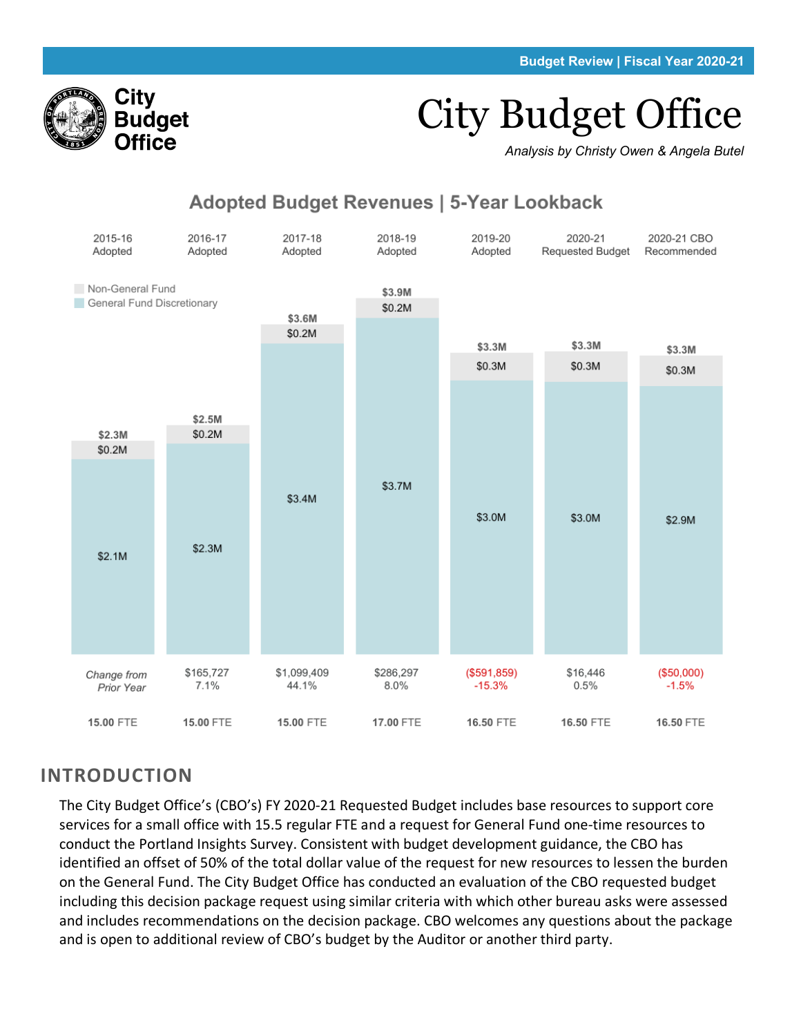# City Budget Office

*Analysis by Christy Owen & Angela Butel*



# **Adopted Budget Revenues | 5-Year Lookback**

## **INTRODUCTION**

City

Budget Office

The City Budget Office's (CBO's) FY 2020-21 Requested Budget includes base resources to support core services for a small office with 15.5 regular FTE and a request for General Fund one-time resources to conduct the Portland Insights Survey. Consistent with budget development guidance, the CBO has identified an offset of 50% of the total dollar value of the request for new resources to lessen the burden on the General Fund. The City Budget Office has conducted an evaluation of the CBO requested budget including this decision package request using similar criteria with which other bureau asks were assessed and includes recommendations on the decision package. CBO welcomes any questions about the package and is open to additional review of CBO's budget by the Auditor or another third party.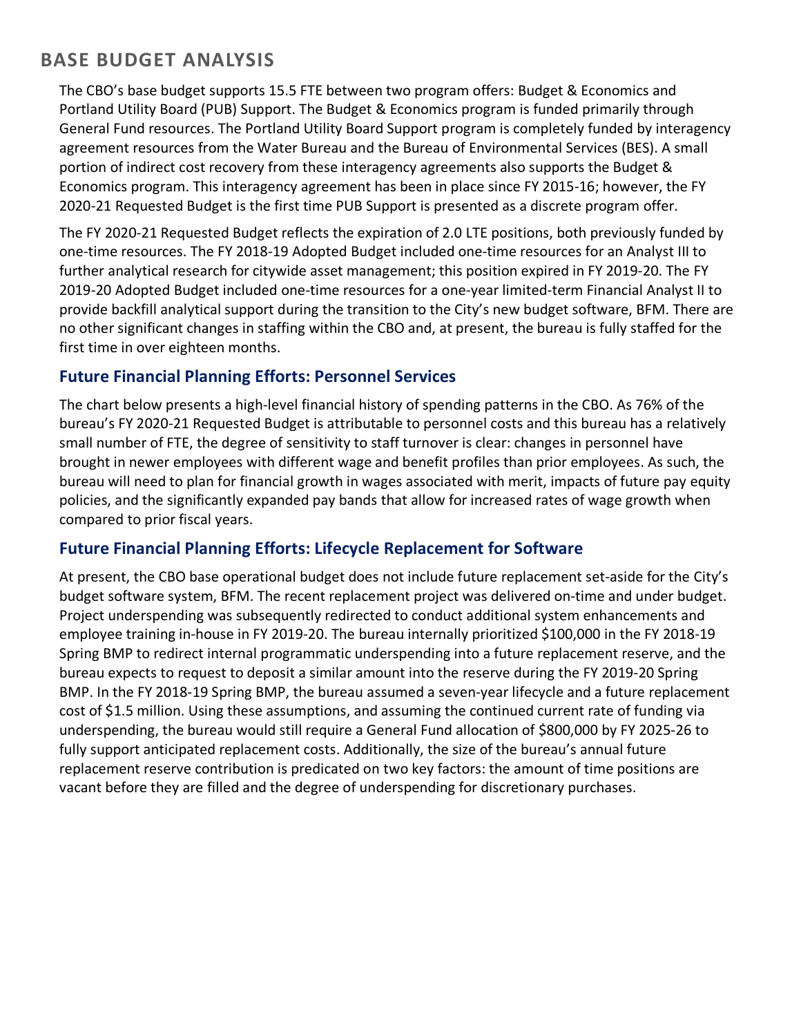# **BASE BUDGET ANALYSIS**

The CBO's base budget supports 15.5 FTE between two program offers: Budget & Economics and Portland Utility Board (PUB) Support. The Budget & Economics program is funded primarily through General Fund resources. The Portland Utility Board Support program is completely funded by interagency agreement resources from the Water Bureau and the Bureau of Environmental Services (BES). A small portion of indirect cost recovery from these interagency agreements also supports the Budget & Economics program. This interagency agreement has been in place since FY 2015-16; however, the FY 2020-21 Requested Budget is the first time PUB Support is presented as a discrete program offer.

The FY 2020-21 Requested Budget reflects the expiration of 2.0 LTE positions, both previously funded by one-time resources. The FY 2018-19 Adopted Budget included one-time resources for an Analyst III to further analytical research for citywide asset management; this position expired in FY 2019-20. The FY 2019-20 Adopted Budget included one-time resources for a one-year limited-term Financial Analyst II to provide backfill analytical support during the transition to the City's new budget software, BFM. There are no other significant changes in staffing within the CBO and, at present, the bureau is fully staffed for the first time in over eighteen months.

## **Future Financial Planning Efforts: Personnel Services**

The chart below presents a high-level financial history of spending patterns in the CBO. As 76% of the bureau's FY 2020-21 Requested Budget is attributable to personnel costs and this bureau has a relatively small number of FTE, the degree of sensitivity to staff turnover is clear: changes in personnel have brought in newer employees with different wage and benefit profiles than prior employees. As such, the bureau will need to plan for financial growth in wages associated with merit, impacts of future pay equity policies, and the significantly expanded pay bands that allow for increased rates of wage growth when compared to prior fiscal years.

## **Future Financial Planning Efforts: Lifecycle Replacement for Software**

At present, the CBO base operational budget does not include future replacement set-aside for the City's budget software system, BFM. The recent replacement project was delivered on-time and under budget. Project underspending was subsequently redirected to conduct additional system enhancements and employee training in-house in FY 2019-20. The bureau internally prioritized \$100,000 in the FY 2018-19 Spring BMP to redirect internal programmatic underspending into a future replacement reserve, and the bureau expects to request to deposit a similar amount into the reserve during the FY 2019-20 Spring BMP. In the FY 2018-19 Spring BMP, the bureau assumed a seven-year lifecycle and a future replacement cost of \$1.5 million. Using these assumptions, and assuming the continued current rate of funding via underspending, the bureau would still require a General Fund allocation of \$800,000 by FY 2025-26 to fully support anticipated replacement costs. Additionally, the size of the bureau's annual future replacement reserve contribution is predicated on two key factors: the amount of time positions are vacant before they are filled and the degree of underspending for discretionary purchases.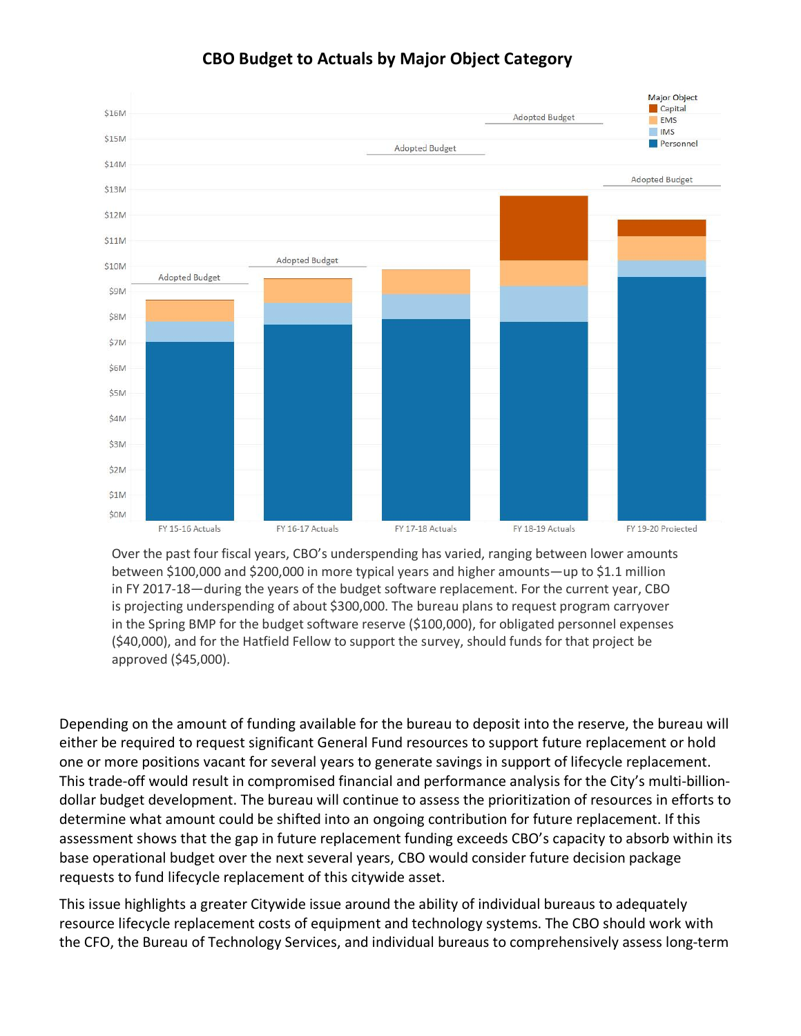

## **CBO Budget to Actuals by Major Object Category**

Over the past four fiscal years, CBO's underspending has varied, ranging between lower amounts between \$100,000 and \$200,000 in more typical years and higher amounts—up to \$1.1 million in FY 2017-18—during the years of the budget software replacement. For the current year, CBO is projecting underspending of about \$300,000. The bureau plans to request program carryover in the Spring BMP for the budget software reserve (\$100,000), for obligated personnel expenses (\$40,000), and for the Hatfield Fellow to support the survey, should funds for that project be approved (\$45,000).

Depending on the amount of funding available for the bureau to deposit into the reserve, the bureau will either be required to request significant General Fund resources to support future replacement or hold one or more positions vacant for several years to generate savings in support of lifecycle replacement. This trade-off would result in compromised financial and performance analysis for the City's multi-billiondollar budget development. The bureau will continue to assess the prioritization of resources in efforts to determine what amount could be shifted into an ongoing contribution for future replacement. If this assessment shows that the gap in future replacement funding exceeds CBO's capacity to absorb within its base operational budget over the next several years, CBO would consider future decision package requests to fund lifecycle replacement of this citywide asset.

This issue highlights a greater Citywide issue around the ability of individual bureaus to adequately resource lifecycle replacement costs of equipment and technology systems. The CBO should work with the CFO, the Bureau of Technology Services, and individual bureaus to comprehensively assess long-term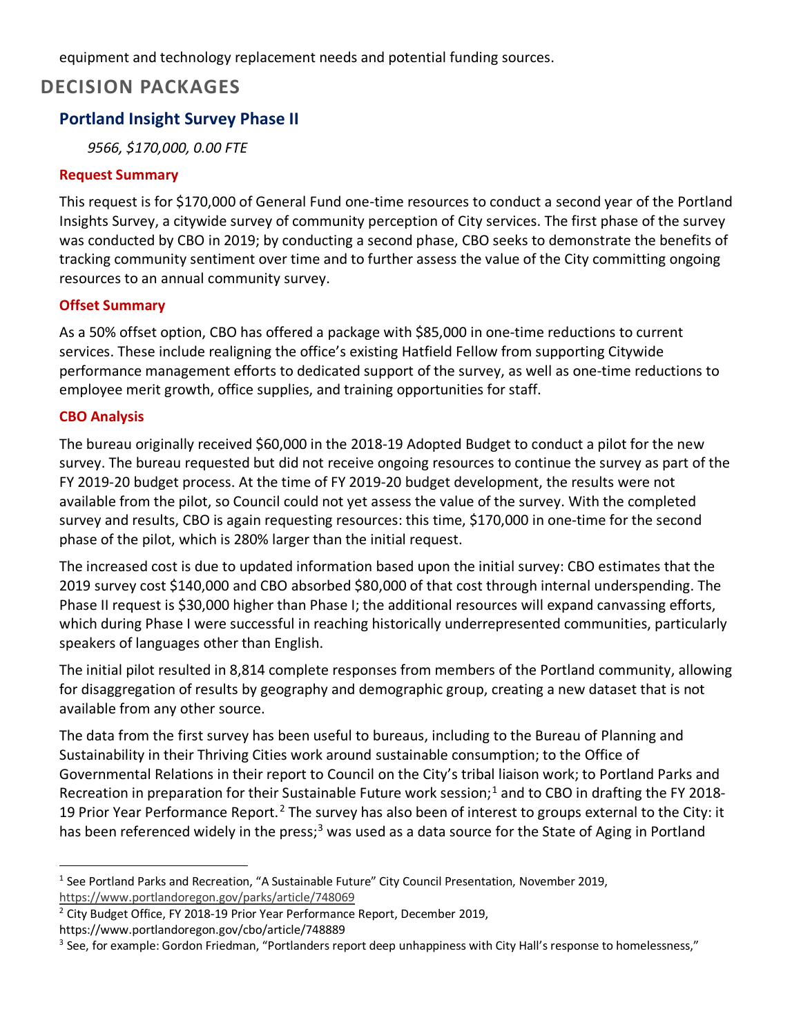equipment and technology replacement needs and potential funding sources.

## **DECISION PACKAGES**

## **Portland Insight Survey Phase II**

*9566, \$170,000, 0.00 FTE*

#### **Request Summary**

This request is for \$170,000 of General Fund one-time resources to conduct a second year of the Portland Insights Survey, a citywide survey of community perception of City services. The first phase of the survey was conducted by CBO in 2019; by conducting a second phase, CBO seeks to demonstrate the benefits of tracking community sentiment over time and to further assess the value of the City committing ongoing resources to an annual community survey.

#### **Offset Summary**

As a 50% offset option, CBO has offered a package with \$85,000 in one-time reductions to current services. These include realigning the office's existing Hatfield Fellow from supporting Citywide performance management efforts to dedicated support of the survey, as well as one-time reductions to employee merit growth, office supplies, and training opportunities for staff.

#### **CBO Analysis**

The bureau originally received \$60,000 in the 2018-19 Adopted Budget to conduct a pilot for the new survey. The bureau requested but did not receive ongoing resources to continue the survey as part of the FY 2019-20 budget process. At the time of FY 2019-20 budget development, the results were not available from the pilot, so Council could not yet assess the value of the survey. With the completed survey and results, CBO is again requesting resources: this time, \$170,000 in one-time for the second phase of the pilot, which is 280% larger than the initial request.

The increased cost is due to updated information based upon the initial survey: CBO estimates that the 2019 survey cost \$140,000 and CBO absorbed \$80,000 of that cost through internal underspending. The Phase II request is \$30,000 higher than Phase I; the additional resources will expand canvassing efforts, which during Phase I were successful in reaching historically underrepresented communities, particularly speakers of languages other than English.

The initial pilot resulted in 8,814 complete responses from members of the Portland community, allowing for disaggregation of results by geography and demographic group, creating a new dataset that is not available from any other source.

The data from the first survey has been useful to bureaus, including to the Bureau of Planning and Sustainability in their Thriving Cities work around sustainable consumption; to the Office of Governmental Relations in their report to Council on the City's tribal liaison work; to Portland Parks and Recreation in preparation for their Sustainable Future work session;<sup>[1](#page-3-0)</sup> and to CBO in drafting the FY 2018-19 Prior Year Performance Report.<sup>[2](#page-3-1)</sup> The survey has also been of interest to groups external to the City: it has been referenced widely in the press;<sup>[3](#page-3-2)</sup> was used as a data source for the State of Aging in Portland

<span id="page-3-0"></span><sup>&</sup>lt;sup>1</sup> See Portland Parks and Recreation, "A Sustainable Future" City Council Presentation, November 2019, <https://www.portlandoregon.gov/parks/article/748069>

<span id="page-3-1"></span><sup>&</sup>lt;sup>2</sup> City Budget Office, FY 2018-19 Prior Year Performance Report, December 2019,

https://www.portlandoregon.gov/cbo/article/748889

<span id="page-3-2"></span> $3$  See, for example: Gordon Friedman, "Portlanders report deep unhappiness with City Hall's response to homelessness,"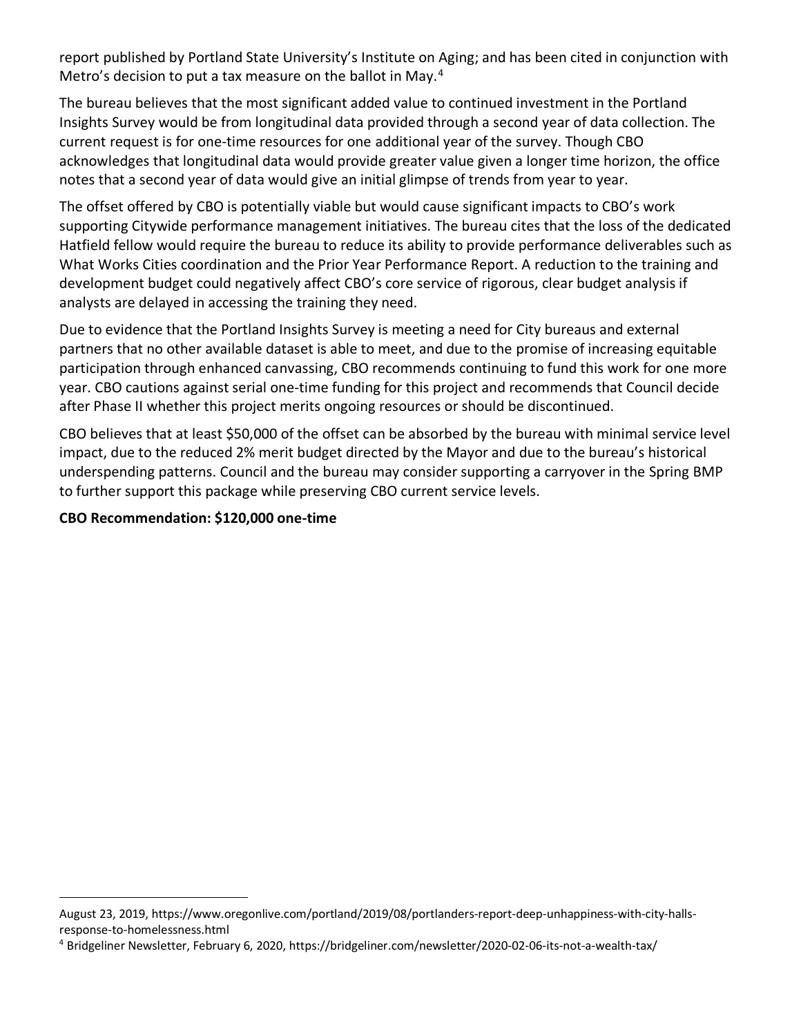report published by Portland State University's Institute on Aging; and has been cited in conjunction with Metro's decision to put a tax measure on the ballot in May.<sup>[4](#page-4-0)</sup>

The bureau believes that the most significant added value to continued investment in the Portland Insights Survey would be from longitudinal data provided through a second year of data collection. The current request is for one-time resources for one additional year of the survey. Though CBO acknowledges that longitudinal data would provide greater value given a longer time horizon, the office notes that a second year of data would give an initial glimpse of trends from year to year.

The offset offered by CBO is potentially viable but would cause significant impacts to CBO's work supporting Citywide performance management initiatives. The bureau cites that the loss of the dedicated Hatfield fellow would require the bureau to reduce its ability to provide performance deliverables such as What Works Cities coordination and the Prior Year Performance Report. A reduction to the training and development budget could negatively affect CBO's core service of rigorous, clear budget analysis if analysts are delayed in accessing the training they need.

Due to evidence that the Portland Insights Survey is meeting a need for City bureaus and external partners that no other available dataset is able to meet, and due to the promise of increasing equitable participation through enhanced canvassing, CBO recommends continuing to fund this work for one more year. CBO cautions against serial one-time funding for this project and recommends that Council decide after Phase II whether this project merits ongoing resources or should be discontinued.

CBO believes that at least \$50,000 of the offset can be absorbed by the bureau with minimal service level impact, due to the reduced 2% merit budget directed by the Mayor and due to the bureau's historical underspending patterns. Council and the bureau may consider supporting a carryover in the Spring BMP to further support this package while preserving CBO current service levels.

### **CBO Recommendation: \$120,000 one-time**

August 23, 2019, https://www.oregonlive.com/portland/2019/08/portlanders-report-deep-unhappiness-with-city-hallsresponse-to-homelessness.html

<span id="page-4-0"></span><sup>4</sup> Bridgeliner Newsletter, February 6, 2020, https://bridgeliner.com/newsletter/2020-02-06-its-not-a-wealth-tax/